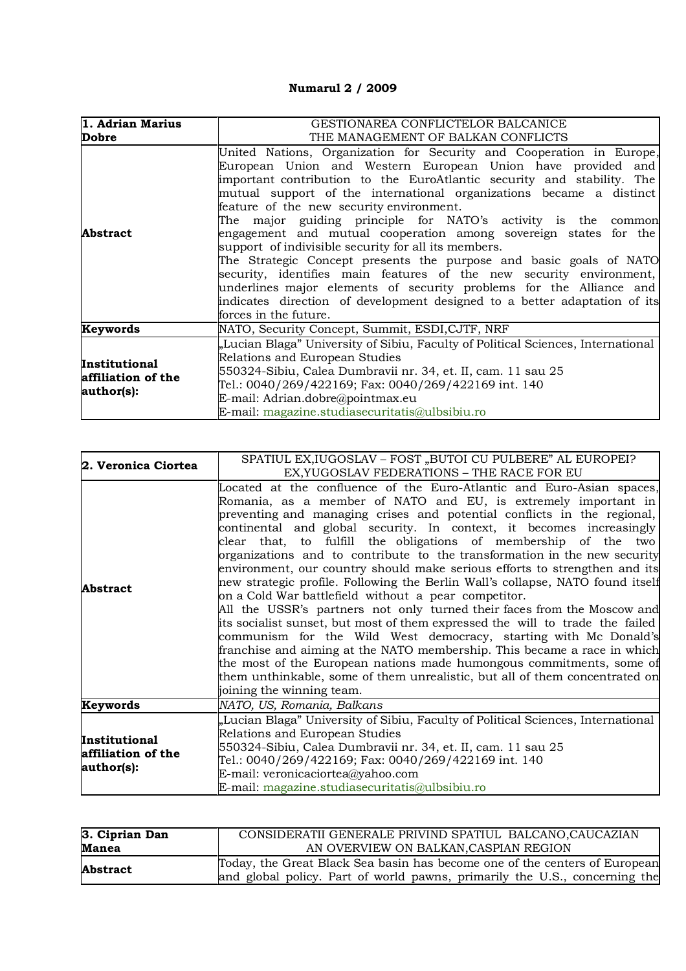## **Numarul 2 / 2009**

| 1. Adrian Marius                                         | GESTIONAREA CONFLICTELOR BALCANICE                                                                                                                                                                                                                                                                                                                                                                                                                                                                                                                                                                                                                                                                                                                                                                                                                      |
|----------------------------------------------------------|---------------------------------------------------------------------------------------------------------------------------------------------------------------------------------------------------------------------------------------------------------------------------------------------------------------------------------------------------------------------------------------------------------------------------------------------------------------------------------------------------------------------------------------------------------------------------------------------------------------------------------------------------------------------------------------------------------------------------------------------------------------------------------------------------------------------------------------------------------|
| Dobre                                                    | THE MANAGEMENT OF BALKAN CONFLICTS                                                                                                                                                                                                                                                                                                                                                                                                                                                                                                                                                                                                                                                                                                                                                                                                                      |
| <b>Abstract</b>                                          | United Nations, Organization for Security and Cooperation in Europe,<br>European Union and Western European Union have provided and<br>important contribution to the EuroAtlantic security and stability. The<br>mutual support of the international organizations became a distinct<br>feature of the new security environment.<br>The major guiding principle for NATO's activity is the common<br>engagement and mutual cooperation among sovereign states for the<br>support of indivisible security for all its members.<br>The Strategic Concept presents the purpose and basic goals of NATO<br>security, identifies main features of the new security environment,<br>underlines major elements of security problems for the Alliance and<br>indicates direction of development designed to a better adaptation of its<br>forces in the future. |
| Keywords                                                 | NATO, Security Concept, Summit, ESDI, CJTF, NRF                                                                                                                                                                                                                                                                                                                                                                                                                                                                                                                                                                                                                                                                                                                                                                                                         |
| <b>Institutional</b><br>affiliation of the<br>author(s): | "Lucian Blaga" University of Sibiu, Faculty of Political Sciences, International<br>Relations and European Studies<br>550324-Sibiu, Calea Dumbravii nr. 34, et. II, cam. 11 sau 25<br>Tel.: 0040/269/422169; Fax: 0040/269/422169 int. 140<br>E-mail: Adrian.dobre@pointmax.eu<br>E-mail: magazine.studiasecuritatis@ulbsibiu.ro                                                                                                                                                                                                                                                                                                                                                                                                                                                                                                                        |

| 2. Veronica Ciortea                               | SPATIUL EX, IUGOSLAV - FOST "BUTOI CU PULBERE" AL EUROPEI?                                                                                                                                                                                                                                                                                                                                                                                                                                                                                                                                                                                                                                                                                                                                                                                                                                                                                                                                                                                                                                                                                                         |
|---------------------------------------------------|--------------------------------------------------------------------------------------------------------------------------------------------------------------------------------------------------------------------------------------------------------------------------------------------------------------------------------------------------------------------------------------------------------------------------------------------------------------------------------------------------------------------------------------------------------------------------------------------------------------------------------------------------------------------------------------------------------------------------------------------------------------------------------------------------------------------------------------------------------------------------------------------------------------------------------------------------------------------------------------------------------------------------------------------------------------------------------------------------------------------------------------------------------------------|
|                                                   | EX, YUGOSLAV FEDERATIONS - THE RACE FOR EU                                                                                                                                                                                                                                                                                                                                                                                                                                                                                                                                                                                                                                                                                                                                                                                                                                                                                                                                                                                                                                                                                                                         |
| <b>Abstract</b>                                   | Located at the confluence of the Euro-Atlantic and Euro-Asian spaces,<br>Romania, as a member of NATO and EU, is extremely important in<br>preventing and managing crises and potential conflicts in the regional,<br>continental and global security. In context, it becomes increasingly<br>clear that, to fulfill the obligations of membership of the two<br>organizations and to contribute to the transformation in the new security<br>environment, our country should make serious efforts to strengthen and its<br>new strategic profile. Following the Berlin Wall's collapse, NATO found itself<br>on a Cold War battlefield without a pear competitor.<br>All the USSR's partners not only turned their faces from the Moscow and<br>its socialist sunset, but most of them expressed the will to trade the failed<br>communism for the Wild West democracy, starting with Mc Donald's<br>franchise and aiming at the NATO membership. This became a race in which<br>the most of the European nations made humongous commitments, some of<br>them unthinkable, some of them unrealistic, but all of them concentrated on<br>joining the winning team. |
| Keywords                                          | NATO, US, Romania, Balkans                                                                                                                                                                                                                                                                                                                                                                                                                                                                                                                                                                                                                                                                                                                                                                                                                                                                                                                                                                                                                                                                                                                                         |
| Institutional<br>affiliation of the<br>author(s): | "Lucian Blaga" University of Sibiu, Faculty of Political Sciences, International<br>Relations and European Studies<br>550324-Sibiu, Calea Dumbravii nr. 34, et. II, cam. 11 sau 25<br>Tel.: 0040/269/422169; Fax: 0040/269/422169 int. 140<br>E-mail: veronicaciortea@yahoo.com<br>E-mail: magazine.studiasecuritatis@ulbsibiu.ro                                                                                                                                                                                                                                                                                                                                                                                                                                                                                                                                                                                                                                                                                                                                                                                                                                  |

| 3. Ciprian Dan | CONSIDERATII GENERALE PRIVIND SPATIUL BALCANO, CAUCAZIAN                   |
|----------------|----------------------------------------------------------------------------|
| <b>Manea</b>   | AN OVERVIEW ON BALKAN, CASPIAN REGION                                      |
| Abstract       | Today, the Great Black Sea basin has become one of the centers of European |
|                | and global policy. Part of world pawns, primarily the U.S., concerning the |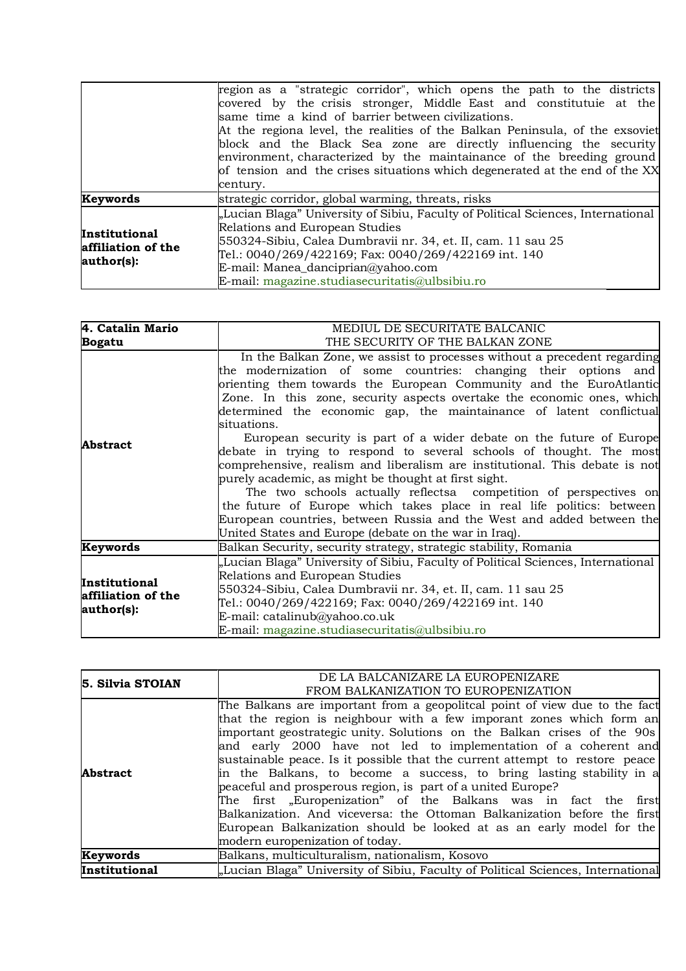|                                                   | region as a "strategic corridor", which opens the path to the districts<br>covered by the crisis stronger, Middle East and constitutuie at the<br>same time a kind of barrier between civilizations.<br>At the regiona level, the realities of the Balkan Peninsula, of the exsoviet<br>block and the Black Sea zone are directly influencing the security<br>environment, characterized by the maintainance of the breeding ground |
|---------------------------------------------------|-------------------------------------------------------------------------------------------------------------------------------------------------------------------------------------------------------------------------------------------------------------------------------------------------------------------------------------------------------------------------------------------------------------------------------------|
|                                                   | of tension and the crises situations which degenerated at the end of the XX<br>century.                                                                                                                                                                                                                                                                                                                                             |
| <b>Keywords</b>                                   | strategic corridor, global warming, threats, risks                                                                                                                                                                                                                                                                                                                                                                                  |
| Institutional<br>affiliation of the<br>author(s): | "Lucian Blaga" University of Sibiu, Faculty of Political Sciences, International<br>Relations and European Studies<br>550324-Sibiu, Calea Dumbravii nr. 34, et. II, cam. 11 sau 25<br>Tel.: 0040/269/422169; Fax: 0040/269/422169 int. 140<br>$E$ -mail: Manea_danciprian@yahoo.com<br>E-mail: magazine.studiasecuritatis@ulbsibiu.ro                                                                                               |

| 4. Catalin Mario                                  | MEDIUL DE SECURITATE BALCANIC                                                                                                                                                                                                                                                                                                                                                                                                                                                                                                                                                                                                                                                                                                                                                                                                                                                                                                                          |
|---------------------------------------------------|--------------------------------------------------------------------------------------------------------------------------------------------------------------------------------------------------------------------------------------------------------------------------------------------------------------------------------------------------------------------------------------------------------------------------------------------------------------------------------------------------------------------------------------------------------------------------------------------------------------------------------------------------------------------------------------------------------------------------------------------------------------------------------------------------------------------------------------------------------------------------------------------------------------------------------------------------------|
| <b>Bogatu</b>                                     | THE SECURITY OF THE BALKAN ZONE                                                                                                                                                                                                                                                                                                                                                                                                                                                                                                                                                                                                                                                                                                                                                                                                                                                                                                                        |
| <b>Abstract</b>                                   | In the Balkan Zone, we assist to processes without a precedent regarding<br>the modernization of some countries: changing their options and<br>orienting them towards the European Community and the EuroAtlantic<br>Zone. In this zone, security aspects overtake the economic ones, which<br>determined the economic gap, the maintainance of latent conflictual<br>situations.<br>European security is part of a wider debate on the future of Europe<br>debate in trying to respond to several schools of thought. The most<br>comprehensive, realism and liberalism are institutional. This debate is not<br>purely academic, as might be thought at first sight.<br>The two schools actually reflects acompetition of perspectives on<br>the future of Europe which takes place in real life politics: between<br>European countries, between Russia and the West and added between the<br>United States and Europe (debate on the war in Iraq). |
| Keywords                                          | Balkan Security, security strategy, strategic stability, Romania                                                                                                                                                                                                                                                                                                                                                                                                                                                                                                                                                                                                                                                                                                                                                                                                                                                                                       |
| Institutional<br>affiliation of the<br>author(s): | "Lucian Blaga" University of Sibiu, Faculty of Political Sciences, International<br>Relations and European Studies<br>550324-Sibiu, Calea Dumbravii nr. 34, et. II, cam. 11 sau 25<br>Tel.: 0040/269/422169; Fax: 0040/269/422169 int. 140<br>E-mail: catalinub@yahoo.co.uk<br>E-mail: magazine.studiasecuritatis@ulbsibiu.ro                                                                                                                                                                                                                                                                                                                                                                                                                                                                                                                                                                                                                          |

| 5. Silvia STOIAN | DE LA BALCANIZARE LA EUROPENIZARE                                                                                                                                                                                                                                                                                                                                                                                                                        |
|------------------|----------------------------------------------------------------------------------------------------------------------------------------------------------------------------------------------------------------------------------------------------------------------------------------------------------------------------------------------------------------------------------------------------------------------------------------------------------|
|                  | FROM BALKANIZATION TO EUROPENIZATION                                                                                                                                                                                                                                                                                                                                                                                                                     |
| <b>Abstract</b>  | The Balkans are important from a geopolitical point of view due to the fact<br>that the region is neighbour with a few imporant zones which form an<br>important geostrategic unity. Solutions on the Balkan crises of the 90s<br>and early 2000 have not led to implementation of a coherent and<br>sustainable peace. Is it possible that the current attempt to restore peace<br>in the Balkans, to become a success, to bring lasting stability in a |
|                  | peaceful and prosperous region, is part of a united Europe?<br>The first "Europenization" of the Balkans was in fact the first<br>Balkanization. And viceversa: the Ottoman Balkanization before the first<br>European Balkanization should be looked at as an early model for the<br>modern europenization of today.                                                                                                                                    |
| Keywords         | Balkans, multiculturalism, nationalism, Kosovo                                                                                                                                                                                                                                                                                                                                                                                                           |
| Institutional    | "Lucian Blaga" University of Sibiu, Faculty of Political Sciences, International                                                                                                                                                                                                                                                                                                                                                                         |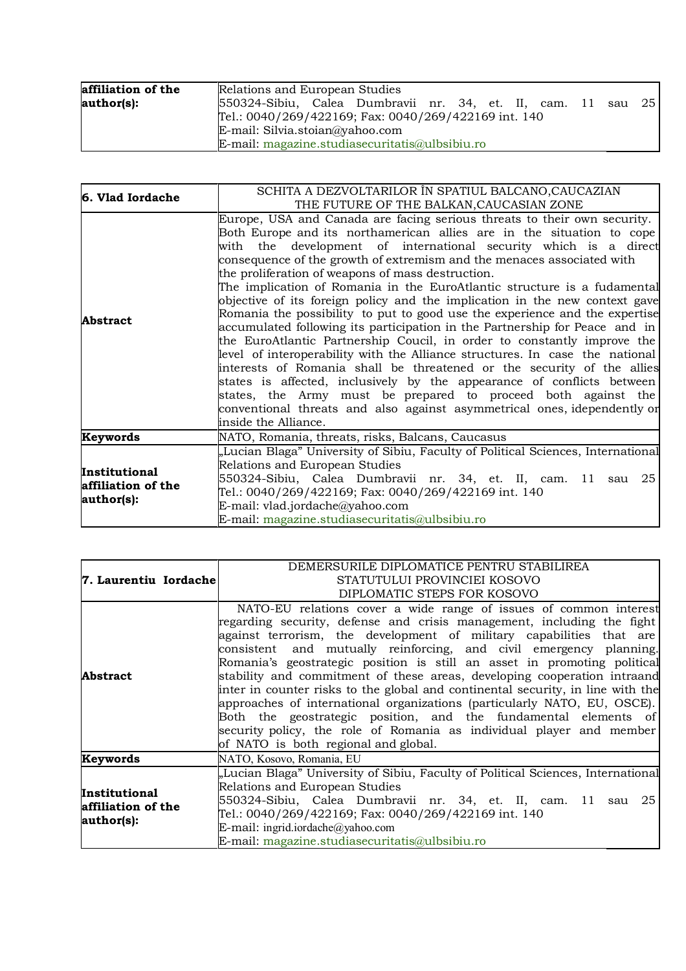| affiliation of the | Relations and European Studies                                      |
|--------------------|---------------------------------------------------------------------|
| author(s):         | 550324-Sibiu, Calea Dumbravii nr. 34, et. II, cam.<br>– 11 sau 25 l |
|                    | Tel.: 0040/269/422169; Fax: 0040/269/422169 int. 140                |
|                    | E-mail: Silvia.stoian@yahoo.com                                     |
|                    | E-mail: magazine.studiasecuritatis@ulbsibiu.ro                      |

| 6. Vlad Iordache                                  | SCHITA A DEZVOLTARILOR ÎN SPATIUL BALCANO, CAUCAZIAN<br>THE FUTURE OF THE BALKAN, CAUCASIAN ZONE                                                                                                                                                                                                                                                                                                                                                                                                                                                                                                                                                                                                                                                                                                                                                                                                                                                                                                                                                                                                                                                                  |
|---------------------------------------------------|-------------------------------------------------------------------------------------------------------------------------------------------------------------------------------------------------------------------------------------------------------------------------------------------------------------------------------------------------------------------------------------------------------------------------------------------------------------------------------------------------------------------------------------------------------------------------------------------------------------------------------------------------------------------------------------------------------------------------------------------------------------------------------------------------------------------------------------------------------------------------------------------------------------------------------------------------------------------------------------------------------------------------------------------------------------------------------------------------------------------------------------------------------------------|
| Abstract                                          | Europe, USA and Canada are facing serious threats to their own security.<br>Both Europe and its northamerican allies are in the situation to cope<br>with the development of international security which is a direct<br>consequence of the growth of extremism and the menaces associated with<br>the proliferation of weapons of mass destruction.<br>The implication of Romania in the EuroAtlantic structure is a fudamental<br>objective of its foreign policy and the implication in the new context gave<br>Romania the possibility to put to good use the experience and the expertise<br>accumulated following its participation in the Partnership for Peace and in<br>the EuroAtlantic Partnership Coucil, in order to constantly improve the<br>level of interoperability with the Alliance structures. In case the national<br>interests of Romania shall be threatened or the security of the allies<br>states is affected, inclusively by the appearance of conflicts between<br>states, the Army must be prepared to proceed both against the<br>conventional threats and also against asymmetrical ones, idependently or<br>inside the Alliance. |
| Keywords                                          | NATO, Romania, threats, risks, Balcans, Caucasus                                                                                                                                                                                                                                                                                                                                                                                                                                                                                                                                                                                                                                                                                                                                                                                                                                                                                                                                                                                                                                                                                                                  |
| Institutional<br>affiliation of the<br>author(s): | "Lucian Blaga" University of Sibiu, Faculty of Political Sciences, International<br>Relations and European Studies<br>550324-Sibiu, Calea Dumbravii nr. 34, et. II, cam. 11 sau 25<br>Tel.: 0040/269/422169; Fax: 0040/269/422169 int. 140<br>E-mail: vlad.jordache@yahoo.com<br>E-mail: magazine.studiasecuritatis@ulbsibiu.ro                                                                                                                                                                                                                                                                                                                                                                                                                                                                                                                                                                                                                                                                                                                                                                                                                                   |

| 7. Laurentiu Iordachel                            | DEMERSURILE DIPLOMATICE PENTRU STABILIREA<br>STATUTULUI PROVINCIEI KOSOVO<br>DIPLOMATIC STEPS FOR KOSOVO                                                                                                                                                                                                                                                                                                                                                                                                                                                                                                                                                                                                                                                                                            |
|---------------------------------------------------|-----------------------------------------------------------------------------------------------------------------------------------------------------------------------------------------------------------------------------------------------------------------------------------------------------------------------------------------------------------------------------------------------------------------------------------------------------------------------------------------------------------------------------------------------------------------------------------------------------------------------------------------------------------------------------------------------------------------------------------------------------------------------------------------------------|
| <b>Abstract</b>                                   | NATO-EU relations cover a wide range of issues of common interest<br>regarding security, defense and crisis management, including the fight<br>against terrorism, the development of military capabilities that are<br>consistent and mutually reinforcing, and civil emergency planning.<br>Romania's geostrategic position is still an asset in promoting political<br>stability and commitment of these areas, developing cooperation intraand<br>inter in counter risks to the global and continental security, in line with the<br>approaches of international organizations (particularly NATO, EU, OSCE).<br>Both the geostrategic position, and the fundamental elements of<br>security policy, the role of Romania as individual player and member<br>of NATO is both regional and global. |
| Keywords                                          | NATO, Kosovo, Romania, EU                                                                                                                                                                                                                                                                                                                                                                                                                                                                                                                                                                                                                                                                                                                                                                           |
| Institutional<br>affiliation of the<br>author(s): | "Lucian Blaga" University of Sibiu, Faculty of Political Sciences, International<br>Relations and European Studies<br>550324-Sibiu, Calea Dumbravii nr. 34, et. II, cam. 11 sau 25<br>Tel.: 0040/269/422169; Fax: 0040/269/422169 int. 140<br>E-mail: ingrid.iordache@yahoo.com<br>E-mail: magazine.studiasecuritatis@ulbsibiu.ro                                                                                                                                                                                                                                                                                                                                                                                                                                                                   |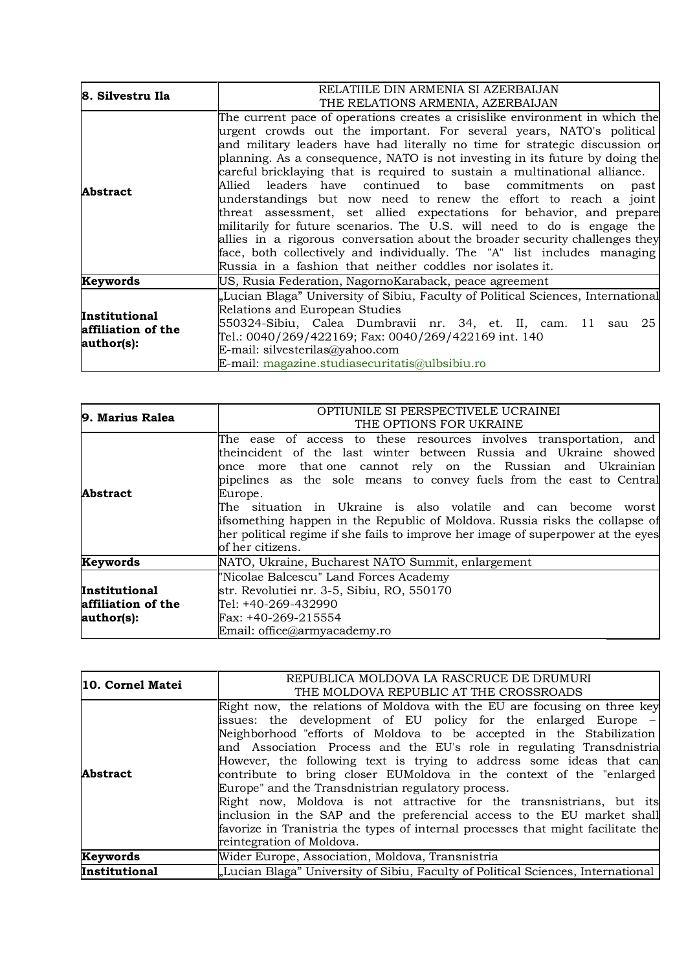| 8. Silvestru Ila                 | RELATIILE DIN ARMENIA SI AZERBAIJAN                                              |
|----------------------------------|----------------------------------------------------------------------------------|
|                                  | THE RELATIONS ARMENIA, AZERBAIJAN                                                |
|                                  | The current pace of operations creates a crisislike environment in which the     |
|                                  | urgent crowds out the important. For several years, NATO's political             |
|                                  | and military leaders have had literally no time for strategic discussion or      |
|                                  | planning. As a consequence, NATO is not investing in its future by doing the     |
|                                  | careful bricklaying that is required to sustain a multinational alliance.        |
| <b>Abstract</b>                  | Allied leaders have continued to base commitments<br>on<br>past                  |
|                                  | understandings but now need to renew the effort to reach a joint                 |
|                                  | threat assessment, set allied expectations for behavior, and prepare             |
|                                  | militarily for future scenarios. The U.S. will need to do is engage the          |
|                                  | allies in a rigorous conversation about the broader security challenges they     |
|                                  | face, both collectively and individually. The "A" list includes managing         |
|                                  | Russia in a fashion that neither coddles nor isolates it.                        |
| Keywords                         | US, Rusia Federation, NagornoKaraback, peace agreement                           |
|                                  | "Lucian Blaga" University of Sibiu, Faculty of Political Sciences, International |
| <b>Institutional</b>             | Relations and European Studies                                                   |
| affiliation of the<br>author(s): | 550324-Sibiu, Calea Dumbravii nr. 34, et. II, cam. 11 sau 25                     |
|                                  | Tel.: 0040/269/422169; Fax: 0040/269/422169 int. 140                             |
|                                  | E-mail: silvesterilas@yahoo.com                                                  |
|                                  | E-mail: magazine.studiasecuritatis@ulbsibiu.ro                                   |

| 9. Marius Ralea                                   | OPTIUNILE SI PERSPECTIVELE UCRAINEI<br>THE OPTIONS FOR UKRAINE                                                                                                                                                                                                                                                                                                                                                                                                                                                                                       |
|---------------------------------------------------|------------------------------------------------------------------------------------------------------------------------------------------------------------------------------------------------------------------------------------------------------------------------------------------------------------------------------------------------------------------------------------------------------------------------------------------------------------------------------------------------------------------------------------------------------|
| <b>Abstract</b>                                   | The ease of access to these resources involves transportation, and<br>theincident of the last winter between Russia and Ukraine showed<br>once more that one cannot rely on the Russian and Ukrainian<br>pipelines as the sole means to convey fuels from the east to Central<br>Europe.<br>The situation in Ukraine is also volatile and can become<br>worst<br>ifsomething happen in the Republic of Moldova. Russia risks the collapse of<br>her political regime if she fails to improve her image of superpower at the eyes<br>of her citizens. |
| Keywords                                          | NATO, Ukraine, Bucharest NATO Summit, enlargement                                                                                                                                                                                                                                                                                                                                                                                                                                                                                                    |
| Institutional<br>affiliation of the<br>author(s): | "Nicolae Balcescu" Land Forces Academy<br>str. Revolutiei nr. 3-5, Sibiu, RO, 550170<br>Tel: +40-269-432990<br>Fax: +40-269-215554<br>Email: office@armyacademy.ro                                                                                                                                                                                                                                                                                                                                                                                   |

| 10. Cornel Matei | REPUBLICA MOLDOVA LA RASCRUCE DE DRUMURI<br>THE MOLDOVA REPUBLIC AT THE CROSSROADS                                                                                                                                                                                                                                                                                                                                                                                                                                                                                                                                                                                                                                                                                     |
|------------------|------------------------------------------------------------------------------------------------------------------------------------------------------------------------------------------------------------------------------------------------------------------------------------------------------------------------------------------------------------------------------------------------------------------------------------------------------------------------------------------------------------------------------------------------------------------------------------------------------------------------------------------------------------------------------------------------------------------------------------------------------------------------|
| <b>Abstract</b>  | Right now, the relations of Moldova with the EU are focusing on three key<br>issues: the development of EU policy for the enlarged Europe –<br>Neighborhood "efforts of Moldova to be accepted in the Stabilization<br>and Association Process and the EU's role in regulating Transdnistria<br>However, the following text is trying to address some ideas that can<br>contribute to bring closer EUMoldova in the context of the "enlarged<br>Europe" and the Transdnistrian regulatory process.<br>Right now, Moldova is not attractive for the transnistrians, but its<br>inclusion in the SAP and the preferencial access to the EU market shall<br>favorize in Tranistria the types of internal processes that might facilitate the<br>reintegration of Moldova. |
| Keywords         | Wider Europe, Association, Moldova, Transnistria                                                                                                                                                                                                                                                                                                                                                                                                                                                                                                                                                                                                                                                                                                                       |
| Institutional    | "Lucian Blaga" University of Sibiu, Faculty of Political Sciences, International                                                                                                                                                                                                                                                                                                                                                                                                                                                                                                                                                                                                                                                                                       |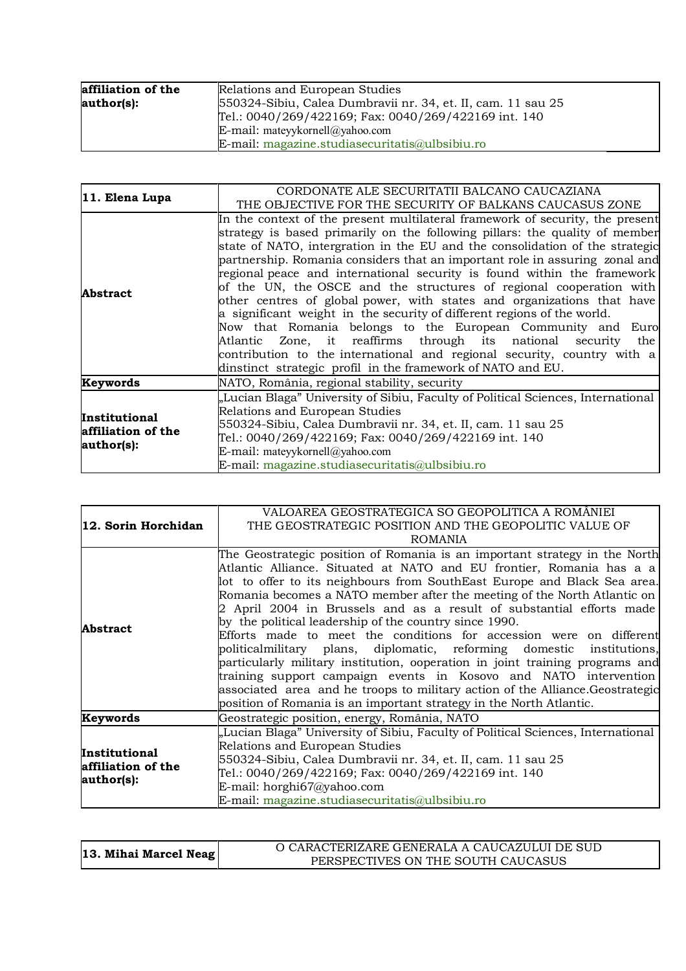| affiliation of the<br>author(s): | Relations and European Studies<br>550324-Sibiu, Calea Dumbravii nr. 34, et. II, cam. 11 sau 25 |
|----------------------------------|------------------------------------------------------------------------------------------------|
|                                  | Tel.: 0040/269/422169; Fax: 0040/269/422169 int. 140                                           |
|                                  | E-mail: mateyykornell@yahoo.com                                                                |
|                                  | E-mail: magazine.studiasecuritatis@ulbsibiu.ro                                                 |

| 11. Elena Lupa                                           | CORDONATE ALE SECURITATII BALCANO CAUCAZIANA                                     |
|----------------------------------------------------------|----------------------------------------------------------------------------------|
|                                                          | THE OBJECTIVE FOR THE SECURITY OF BALKANS CAUCASUS ZONE                          |
|                                                          | In the context of the present multilateral framework of security, the present    |
|                                                          | strategy is based primarily on the following pillars: the quality of member      |
|                                                          | state of NATO, intergration in the EU and the consolidation of the strategic     |
|                                                          | partnership. Romania considers that an important role in assuring zonal and      |
| <b>Abstract</b>                                          | regional peace and international security is found within the framework          |
|                                                          | of the UN, the OSCE and the structures of regional cooperation with              |
|                                                          | other centres of global power, with states and organizations that have           |
|                                                          | a significant weight in the security of different regions of the world.          |
|                                                          | Now that Romania belongs to the European Community and Euro                      |
|                                                          | Atlantic Zone, it reaffirms through its national security the                    |
|                                                          | contribution to the international and regional security, country with a          |
|                                                          | dinstinct strategic profil in the framework of NATO and EU.                      |
| Keywords                                                 | NATO, România, regional stability, security                                      |
| <b>Institutional</b><br>affiliation of the<br>author(s): | "Lucian Blaga" University of Sibiu, Faculty of Political Sciences, International |
|                                                          | Relations and European Studies                                                   |
|                                                          | 550324-Sibiu, Calea Dumbravii nr. 34, et. II, cam. 11 sau 25                     |
|                                                          | Tel.: 0040/269/422169; Fax: 0040/269/422169 int. 140                             |
|                                                          | E-mail: mateyykornell@yahoo.com                                                  |
|                                                          | $E$ -mail: magazine.studiasecuritatis@ulbsibiu.ro                                |

|                                                   | VALOAREA GEOSTRATEGICA SO GEOPOLITICA A ROMÂNIEI                                                                                                                                                                                                                                                                                                                                                                                                                                                                                                                                                                                                                                                                                                                                                                                                                                                          |
|---------------------------------------------------|-----------------------------------------------------------------------------------------------------------------------------------------------------------------------------------------------------------------------------------------------------------------------------------------------------------------------------------------------------------------------------------------------------------------------------------------------------------------------------------------------------------------------------------------------------------------------------------------------------------------------------------------------------------------------------------------------------------------------------------------------------------------------------------------------------------------------------------------------------------------------------------------------------------|
| 12. Sorin Horchidan                               | THE GEOSTRATEGIC POSITION AND THE GEOPOLITIC VALUE OF                                                                                                                                                                                                                                                                                                                                                                                                                                                                                                                                                                                                                                                                                                                                                                                                                                                     |
|                                                   | <b>ROMANIA</b>                                                                                                                                                                                                                                                                                                                                                                                                                                                                                                                                                                                                                                                                                                                                                                                                                                                                                            |
| <b>Abstract</b>                                   | The Geostrategic position of Romania is an important strategy in the North<br>Atlantic Alliance. Situated at NATO and EU frontier, Romania has a a<br>lot to offer to its neighbours from SouthEast Europe and Black Sea area.<br>Romania becomes a NATO member after the meeting of the North Atlantic on<br>2 April 2004 in Brussels and as a result of substantial efforts made<br>by the political leadership of the country since 1990.<br>Efforts made to meet the conditions for accession were on different<br>politicalmilitary plans, diplomatic, reforming domestic institutions,<br>particularly military institution, ooperation in joint training programs and<br>training support campaign events in Kosovo and NATO intervention<br>associated area and he troops to military action of the Alliance. Geostrategic<br>position of Romania is an important strategy in the North Atlantic. |
| Keywords                                          | Geostrategic position, energy, România, NATO                                                                                                                                                                                                                                                                                                                                                                                                                                                                                                                                                                                                                                                                                                                                                                                                                                                              |
| Institutional<br>affiliation of the<br>author(s): | "Lucian Blaga" University of Sibiu, Faculty of Political Sciences, International<br>Relations and European Studies<br>550324-Sibiu, Calea Dumbravii nr. 34, et. II, cam. 11 sau 25<br>Tel.: 0040/269/422169; Fax: 0040/269/422169 int. 140<br>E-mail: horghi67@yahoo.com<br>E-mail: magazine.studiasecuritatis@ulbsibiu.ro                                                                                                                                                                                                                                                                                                                                                                                                                                                                                                                                                                                |

| 13. Mihai Marcel Neag | O CARACTERIZARE GENERALA A CAUCAZULUI DE SUD |
|-----------------------|----------------------------------------------|
|                       | PERSPECTIVES ON THE SOUTH CAUCASUS           |